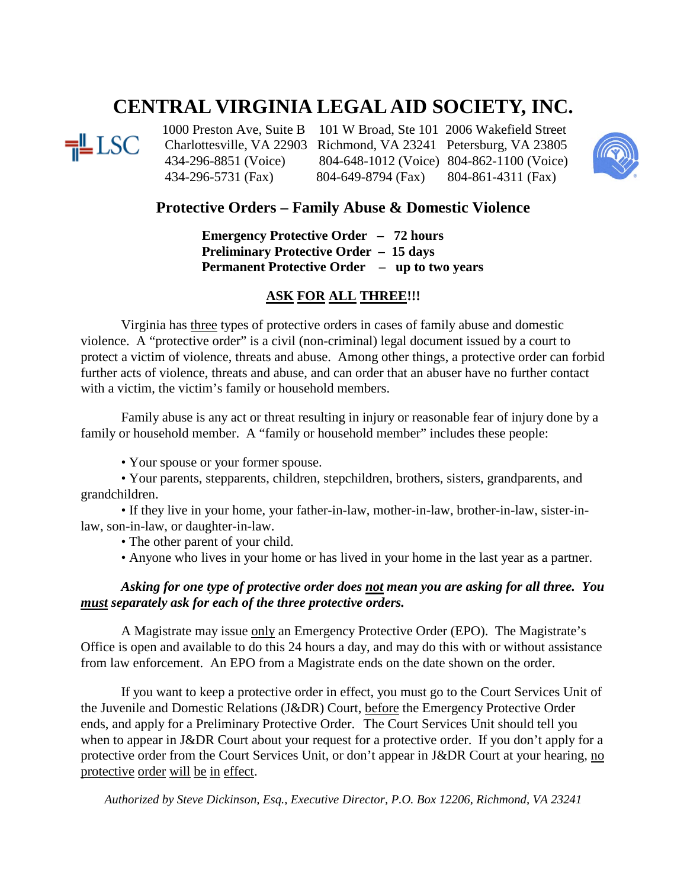# **CENTRAL VIRGINIA LEGAL AID SOCIETY, INC.**

1000 Preston Ave, Suite B 101 W Broad, Ste 101 2006 Wakefield Street<br> **THE LSC** Charlottesville, VA 22903 Richmond, VA 23241 Petersburg, VA 23805 Charlottesville, VA 22903 Richmond, VA 23241 Petersburg, VA 23805 434-296-8851 (Voice) 804-648-1012 (Voice) 804-862-1100 (Voice) 434-296-5731 (Fax) 804-649-8794 (Fax) 804-861-4311 (Fax)



## **Protective Orders – Family Abuse & Domestic Violence**

**Emergency Protective Order – 72 hours Preliminary Protective Order – 15 days Permanent Protective Order – up to two years**

#### **ASK FOR ALL THREE!!!**

Virginia has three types of protective orders in cases of family abuse and domestic violence. A "protective order" is a civil (non-criminal) legal document issued by a court to protect a victim of violence, threats and abuse. Among other things, a protective order can forbid further acts of violence, threats and abuse, and can order that an abuser have no further contact with a victim, the victim's family or household members.

Family abuse is any act or threat resulting in injury or reasonable fear of injury done by a family or household member. A "family or household member" includes these people:

• Your spouse or your former spouse.

• Your parents, stepparents, children, stepchildren, brothers, sisters, grandparents, and grandchildren.

• If they live in your home, your father-in-law, mother-in-law, brother-in-law, sister-inlaw, son-in-law, or daughter-in-law.

• The other parent of your child.

• Anyone who lives in your home or has lived in your home in the last year as a partner.

### *Asking for one type of protective order does not mean you are asking for all three. You must separately ask for each of the three protective orders.*

A Magistrate may issue only an Emergency Protective Order (EPO). The Magistrate's Office is open and available to do this 24 hours a day, and may do this with or without assistance from law enforcement. An EPO from a Magistrate ends on the date shown on the order.

If you want to keep a protective order in effect, you must go to the Court Services Unit of the Juvenile and Domestic Relations (J&DR) Court, before the Emergency Protective Order ends, and apply for a Preliminary Protective Order. The Court Services Unit should tell you when to appear in J&DR Court about your request for a protective order. If you don't apply for a protective order from the Court Services Unit, or don't appear in J&DR Court at your hearing, no protective order will be in effect.

*Authorized by Steve Dickinson, Esq., Executive Director, P.O. Box 12206, Richmond, VA 23241*